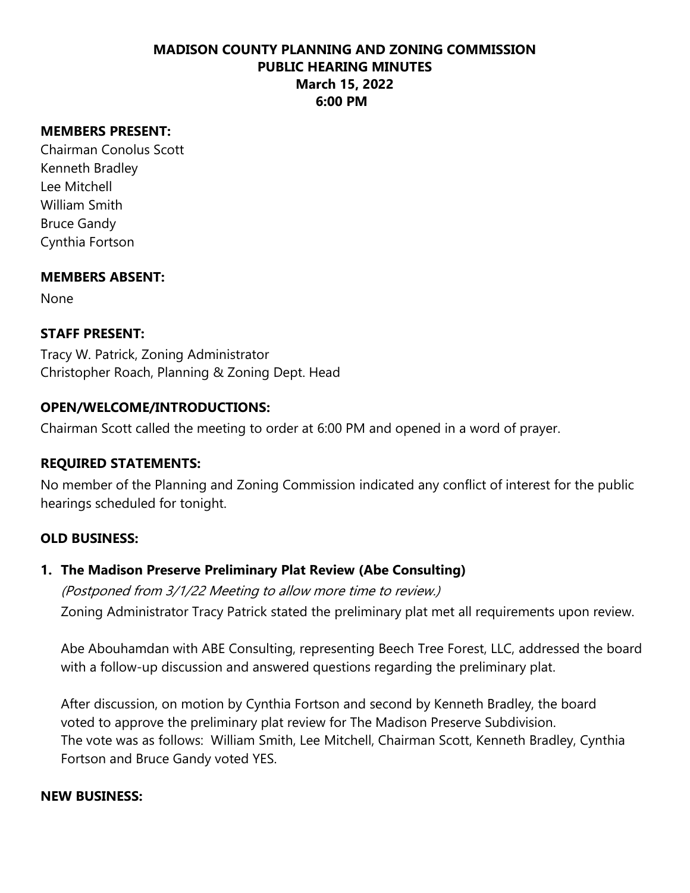#### **MEMBERS PRESENT:**

Chairman Conolus Scott Kenneth Bradley Lee Mitchell William Smith Bruce Gandy Cynthia Fortson

#### **MEMBERS ABSENT:**

None

## **STAFF PRESENT:**

Tracy W. Patrick, Zoning Administrator Christopher Roach, Planning & Zoning Dept. Head

#### **OPEN/WELCOME/INTRODUCTIONS:**

Chairman Scott called the meeting to order at 6:00 PM and opened in a word of prayer.

#### **REQUIRED STATEMENTS:**

No member of the Planning and Zoning Commission indicated any conflict of interest for the public hearings scheduled for tonight.

#### **OLD BUSINESS:**

#### **1. The Madison Preserve Preliminary Plat Review (Abe Consulting)**

(Postponed from 3/1/22 Meeting to allow more time to review.) Zoning Administrator Tracy Patrick stated the preliminary plat met all requirements upon review.

Abe Abouhamdan with ABE Consulting, representing Beech Tree Forest, LLC, addressed the board with a follow-up discussion and answered questions regarding the preliminary plat.

After discussion, on motion by Cynthia Fortson and second by Kenneth Bradley, the board voted to approve the preliminary plat review for The Madison Preserve Subdivision. The vote was as follows: William Smith, Lee Mitchell, Chairman Scott, Kenneth Bradley, Cynthia Fortson and Bruce Gandy voted YES.

#### **NEW BUSINESS:**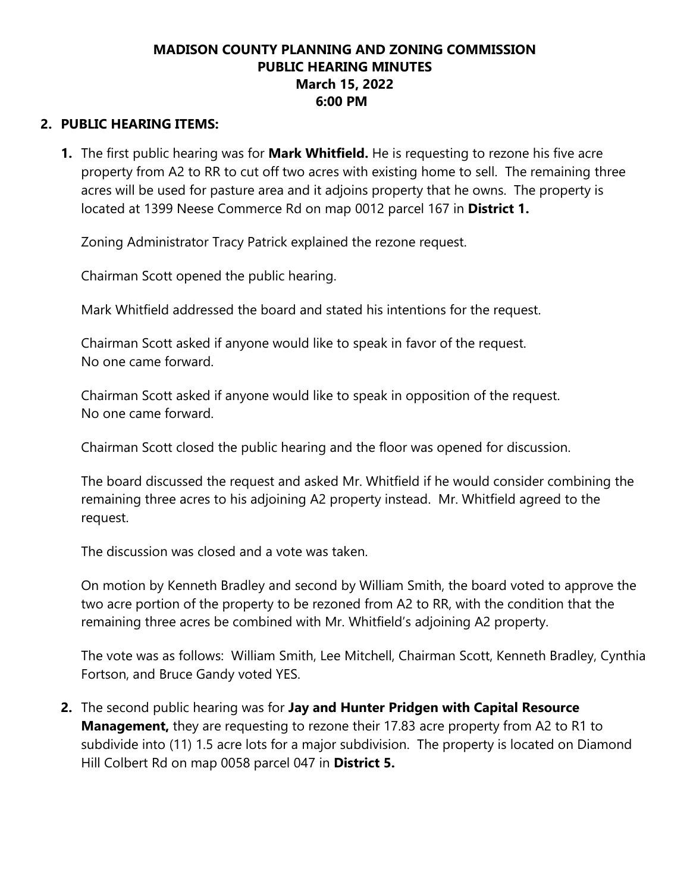## **2. PUBLIC HEARING ITEMS:**

**1.** The first public hearing was for **Mark Whitfield.** He is requesting to rezone his five acre property from A2 to RR to cut off two acres with existing home to sell. The remaining three acres will be used for pasture area and it adjoins property that he owns. The property is located at 1399 Neese Commerce Rd on map 0012 parcel 167 in **District 1.**

Zoning Administrator Tracy Patrick explained the rezone request.

Chairman Scott opened the public hearing.

Mark Whitfield addressed the board and stated his intentions for the request.

Chairman Scott asked if anyone would like to speak in favor of the request. No one came forward.

Chairman Scott asked if anyone would like to speak in opposition of the request. No one came forward.

Chairman Scott closed the public hearing and the floor was opened for discussion.

The board discussed the request and asked Mr. Whitfield if he would consider combining the remaining three acres to his adjoining A2 property instead. Mr. Whitfield agreed to the request.

The discussion was closed and a vote was taken.

On motion by Kenneth Bradley and second by William Smith, the board voted to approve the two acre portion of the property to be rezoned from A2 to RR, with the condition that the remaining three acres be combined with Mr. Whitfield's adjoining A2 property.

The vote was as follows: William Smith, Lee Mitchell, Chairman Scott, Kenneth Bradley, Cynthia Fortson, and Bruce Gandy voted YES.

**2.** The second public hearing was for **Jay and Hunter Pridgen with Capital Resource Management,** they are requesting to rezone their 17.83 acre property from A2 to R1 to subdivide into (11) 1.5 acre lots for a major subdivision. The property is located on Diamond Hill Colbert Rd on map 0058 parcel 047 in **District 5.**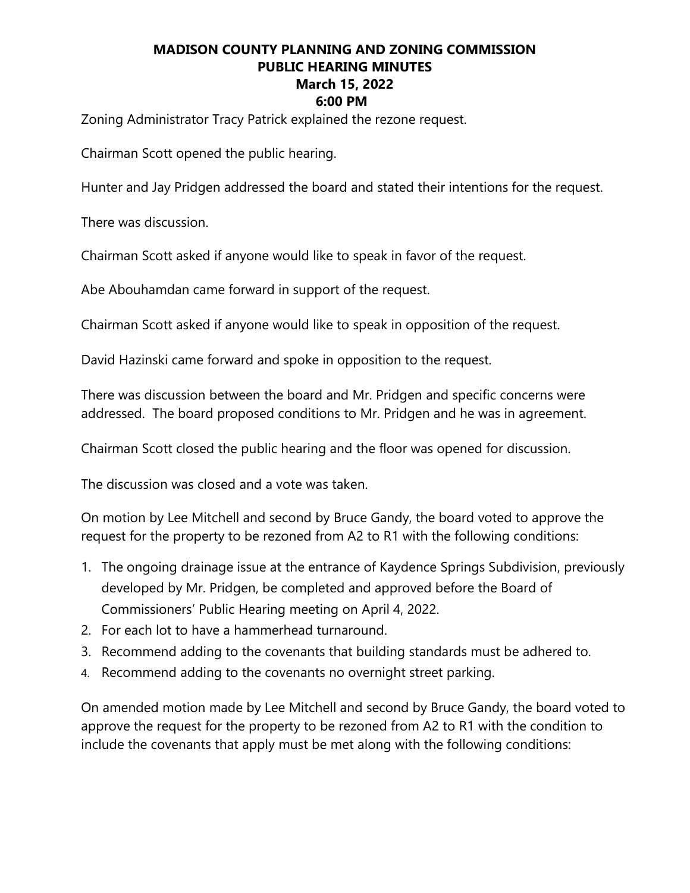Zoning Administrator Tracy Patrick explained the rezone request.

Chairman Scott opened the public hearing.

Hunter and Jay Pridgen addressed the board and stated their intentions for the request.

There was discussion.

Chairman Scott asked if anyone would like to speak in favor of the request.

Abe Abouhamdan came forward in support of the request.

Chairman Scott asked if anyone would like to speak in opposition of the request.

David Hazinski came forward and spoke in opposition to the request.

There was discussion between the board and Mr. Pridgen and specific concerns were addressed. The board proposed conditions to Mr. Pridgen and he was in agreement.

Chairman Scott closed the public hearing and the floor was opened for discussion.

The discussion was closed and a vote was taken.

On motion by Lee Mitchell and second by Bruce Gandy, the board voted to approve the request for the property to be rezoned from A2 to R1 with the following conditions:

- 1. The ongoing drainage issue at the entrance of Kaydence Springs Subdivision, previously developed by Mr. Pridgen, be completed and approved before the Board of Commissioners' Public Hearing meeting on April 4, 2022.
- 2. For each lot to have a hammerhead turnaround.
- 3. Recommend adding to the covenants that building standards must be adhered to.
- 4. Recommend adding to the covenants no overnight street parking.

On amended motion made by Lee Mitchell and second by Bruce Gandy, the board voted to approve the request for the property to be rezoned from A2 to R1 with the condition to include the covenants that apply must be met along with the following conditions: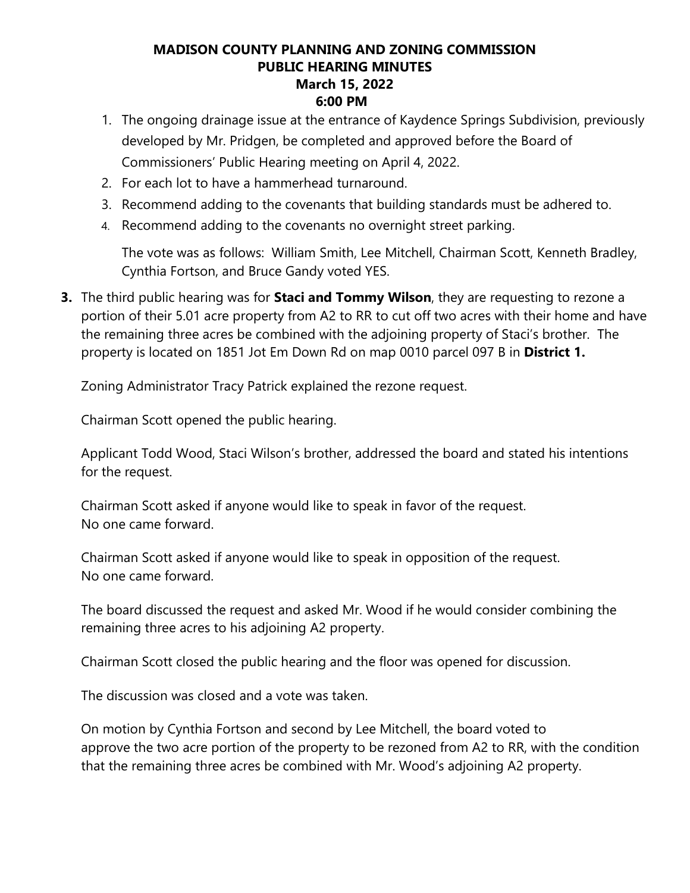- 1. The ongoing drainage issue at the entrance of Kaydence Springs Subdivision, previously developed by Mr. Pridgen, be completed and approved before the Board of Commissioners' Public Hearing meeting on April 4, 2022.
- 2. For each lot to have a hammerhead turnaround.
- 3. Recommend adding to the covenants that building standards must be adhered to.
- 4. Recommend adding to the covenants no overnight street parking.

The vote was as follows: William Smith, Lee Mitchell, Chairman Scott, Kenneth Bradley, Cynthia Fortson, and Bruce Gandy voted YES.

**3.** The third public hearing was for **Staci and Tommy Wilson**, they are requesting to rezone a portion of their 5.01 acre property from A2 to RR to cut off two acres with their home and have the remaining three acres be combined with the adjoining property of Staci's brother. The property is located on 1851 Jot Em Down Rd on map 0010 parcel 097 B in **District 1.**

Zoning Administrator Tracy Patrick explained the rezone request.

Chairman Scott opened the public hearing.

Applicant Todd Wood, Staci Wilson's brother, addressed the board and stated his intentions for the request.

Chairman Scott asked if anyone would like to speak in favor of the request. No one came forward.

Chairman Scott asked if anyone would like to speak in opposition of the request. No one came forward.

The board discussed the request and asked Mr. Wood if he would consider combining the remaining three acres to his adjoining A2 property.

Chairman Scott closed the public hearing and the floor was opened for discussion.

The discussion was closed and a vote was taken.

On motion by Cynthia Fortson and second by Lee Mitchell, the board voted to approve the two acre portion of the property to be rezoned from A2 to RR, with the condition that the remaining three acres be combined with Mr. Wood's adjoining A2 property.